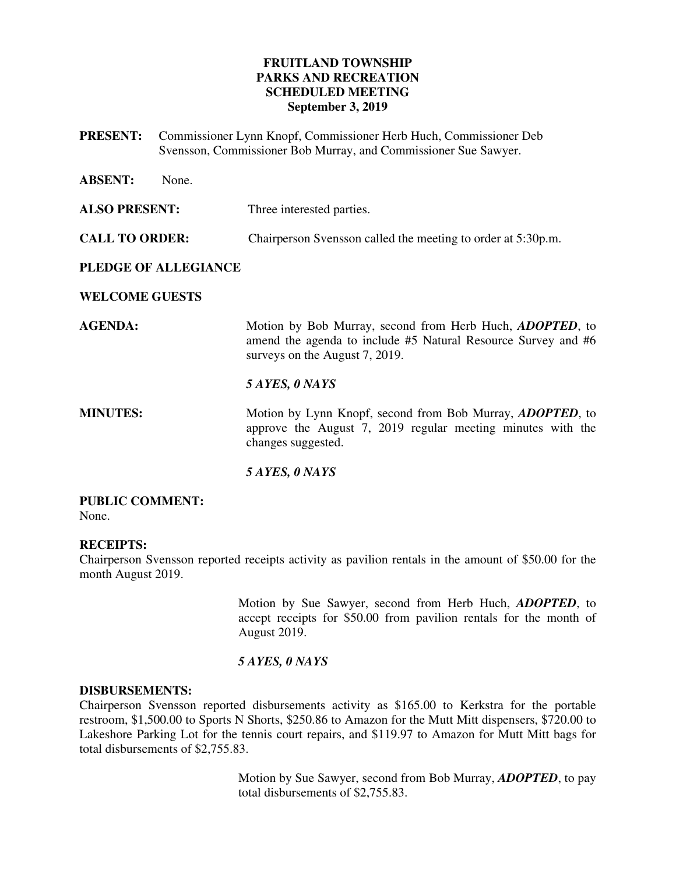## **FRUITLAND TOWNSHIP PARKS AND RECREATION SCHEDULED MEETING September 3, 2019**

**PRESENT:** Commissioner Lynn Knopf, Commissioner Herb Huch, Commissioner Deb Svensson, Commissioner Bob Murray, and Commissioner Sue Sawyer.

| <b>ABSENT:</b>        | None. |                                                                                                                                                             |
|-----------------------|-------|-------------------------------------------------------------------------------------------------------------------------------------------------------------|
| <b>ALSO PRESENT:</b>  |       | Three interested parties.                                                                                                                                   |
| <b>CALL TO ORDER:</b> |       | Chairperson Svensson called the meeting to order at 5:30p.m.                                                                                                |
| PLEDGE OF ALLEGIANCE  |       |                                                                                                                                                             |
| <b>WELCOME GUESTS</b> |       |                                                                                                                                                             |
| <b>AGENDA:</b>        |       | Motion by Bob Murray, second from Herb Huch, ADOPTED, to<br>amend the agenda to include #5 Natural Resource Survey and #6<br>surveys on the August 7, 2019. |
|                       |       | 5 AYES, 0 NAYS                                                                                                                                              |
| <b>MINUTES:</b>       |       | Motion by Lynn Knopf, second from Bob Murray, <i>ADOPTED</i> , to<br>approve the August 7, 2019 regular meeting minutes with the<br>changes suggested.      |
|                       |       | 5 AYES, 0 NAYS                                                                                                                                              |

#### **PUBLIC COMMENT:**  None.

## **RECEIPTS:**

Chairperson Svensson reported receipts activity as pavilion rentals in the amount of \$50.00 for the month August 2019.

> Motion by Sue Sawyer, second from Herb Huch, *ADOPTED*, to accept receipts for \$50.00 from pavilion rentals for the month of August 2019.

#### *5 AYES, 0 NAYS*

#### **DISBURSEMENTS:**

Chairperson Svensson reported disbursements activity as \$165.00 to Kerkstra for the portable restroom, \$1,500.00 to Sports N Shorts, \$250.86 to Amazon for the Mutt Mitt dispensers, \$720.00 to Lakeshore Parking Lot for the tennis court repairs, and \$119.97 to Amazon for Mutt Mitt bags for total disbursements of \$2,755.83.

> Motion by Sue Sawyer, second from Bob Murray, *ADOPTED*, to pay total disbursements of \$2,755.83.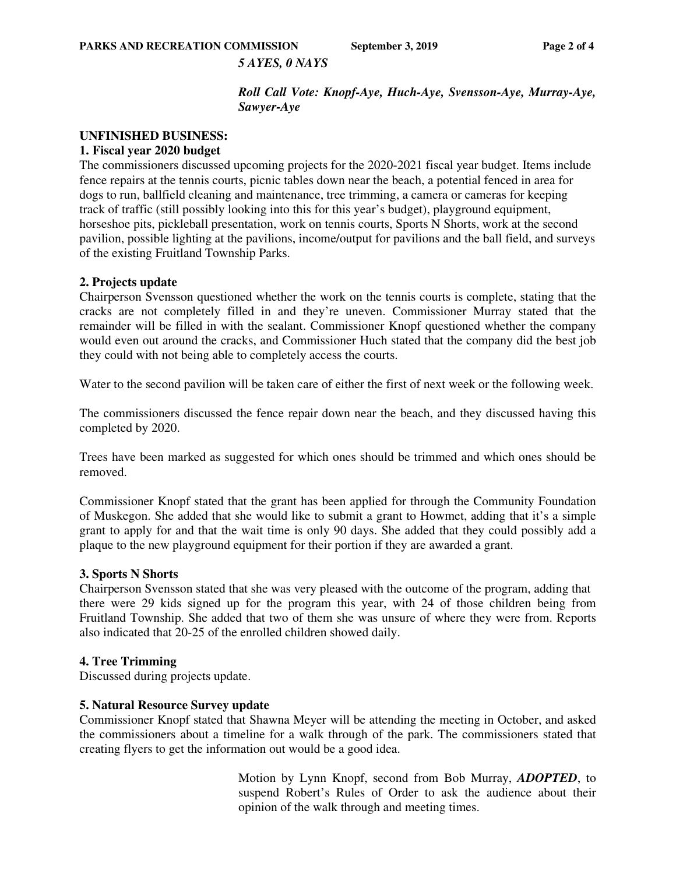**PARKS AND RECREATION COMMISSION** September 3, 2019 Page 2 of 4

#### *5 AYES, 0 NAYS*

*Roll Call Vote: Knopf-Aye, Huch-Aye, Svensson-Aye, Murray-Aye, Sawyer-Aye*

#### **UNFINISHED BUSINESS:**

#### **1. Fiscal year 2020 budget**

The commissioners discussed upcoming projects for the 2020-2021 fiscal year budget. Items include fence repairs at the tennis courts, picnic tables down near the beach, a potential fenced in area for dogs to run, ballfield cleaning and maintenance, tree trimming, a camera or cameras for keeping track of traffic (still possibly looking into this for this year's budget), playground equipment, horseshoe pits, pickleball presentation, work on tennis courts, Sports N Shorts, work at the second pavilion, possible lighting at the pavilions, income/output for pavilions and the ball field, and surveys of the existing Fruitland Township Parks.

#### **2. Projects update**

Chairperson Svensson questioned whether the work on the tennis courts is complete, stating that the cracks are not completely filled in and they're uneven. Commissioner Murray stated that the remainder will be filled in with the sealant. Commissioner Knopf questioned whether the company would even out around the cracks, and Commissioner Huch stated that the company did the best job they could with not being able to completely access the courts.

Water to the second pavilion will be taken care of either the first of next week or the following week.

The commissioners discussed the fence repair down near the beach, and they discussed having this completed by 2020.

Trees have been marked as suggested for which ones should be trimmed and which ones should be removed.

Commissioner Knopf stated that the grant has been applied for through the Community Foundation of Muskegon. She added that she would like to submit a grant to Howmet, adding that it's a simple grant to apply for and that the wait time is only 90 days. She added that they could possibly add a plaque to the new playground equipment for their portion if they are awarded a grant.

#### **3. Sports N Shorts**

Chairperson Svensson stated that she was very pleased with the outcome of the program, adding that there were 29 kids signed up for the program this year, with 24 of those children being from Fruitland Township. She added that two of them she was unsure of where they were from. Reports also indicated that 20-25 of the enrolled children showed daily.

#### **4. Tree Trimming**

Discussed during projects update.

#### **5. Natural Resource Survey update**

Commissioner Knopf stated that Shawna Meyer will be attending the meeting in October, and asked the commissioners about a timeline for a walk through of the park. The commissioners stated that creating flyers to get the information out would be a good idea.

> Motion by Lynn Knopf, second from Bob Murray, *ADOPTED*, to suspend Robert's Rules of Order to ask the audience about their opinion of the walk through and meeting times.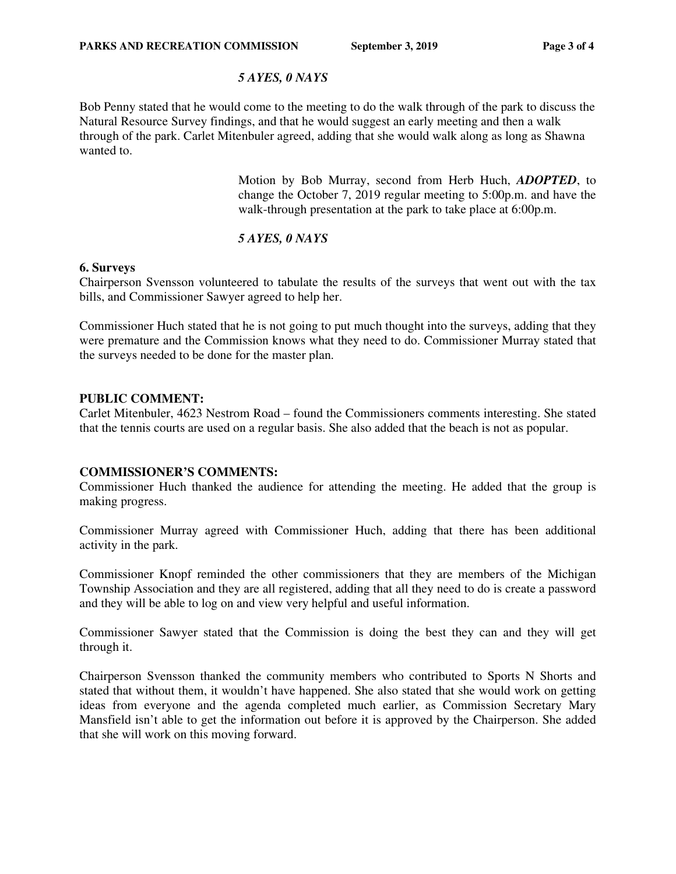### *5 AYES, 0 NAYS*

Bob Penny stated that he would come to the meeting to do the walk through of the park to discuss the Natural Resource Survey findings, and that he would suggest an early meeting and then a walk through of the park. Carlet Mitenbuler agreed, adding that she would walk along as long as Shawna wanted to.

> Motion by Bob Murray, second from Herb Huch, *ADOPTED*, to change the October 7, 2019 regular meeting to 5:00p.m. and have the walk-through presentation at the park to take place at 6:00p.m.

## *5 AYES, 0 NAYS*

#### **6. Surveys**

Chairperson Svensson volunteered to tabulate the results of the surveys that went out with the tax bills, and Commissioner Sawyer agreed to help her.

Commissioner Huch stated that he is not going to put much thought into the surveys, adding that they were premature and the Commission knows what they need to do. Commissioner Murray stated that the surveys needed to be done for the master plan.

### **PUBLIC COMMENT:**

Carlet Mitenbuler, 4623 Nestrom Road – found the Commissioners comments interesting. She stated that the tennis courts are used on a regular basis. She also added that the beach is not as popular.

## **COMMISSIONER'S COMMENTS:**

Commissioner Huch thanked the audience for attending the meeting. He added that the group is making progress.

Commissioner Murray agreed with Commissioner Huch, adding that there has been additional activity in the park.

Commissioner Knopf reminded the other commissioners that they are members of the Michigan Township Association and they are all registered, adding that all they need to do is create a password and they will be able to log on and view very helpful and useful information.

Commissioner Sawyer stated that the Commission is doing the best they can and they will get through it.

Chairperson Svensson thanked the community members who contributed to Sports N Shorts and stated that without them, it wouldn't have happened. She also stated that she would work on getting ideas from everyone and the agenda completed much earlier, as Commission Secretary Mary Mansfield isn't able to get the information out before it is approved by the Chairperson. She added that she will work on this moving forward.